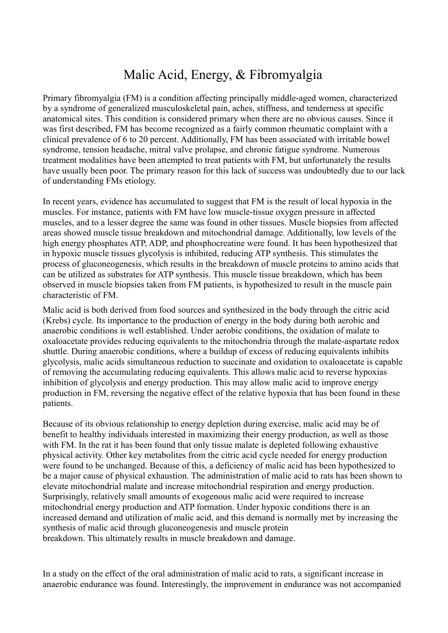## Malic Acid, Energy, & Fibromyalgia

Primary fibromyalgia (FM) is a condition affecting principally middle-aged women, characterized by a syndrome of generalized musculoskeletal pain, aches, stiffness, and tenderness at specific anatomical sites. This condition is considered primary when there are no obvious causes. Since it was first described, FM has become recognized as a fairly common rheumatic complaint with a clinical prevalence of 6 to 20 percent. Additionally, FM has been associated with irritable bowel syndrome, tension headache, mitral valve prolapse, and chronic fatigue syndrome. Numerous treatment modalities have been attempted to treat patients with FM, but unfortunately the results have usually been poor. The primary reason for this lack of success was undoubtedly due to our lack of understanding FMs etiology.

In recent years, evidence has accumulated to suggest that FM is the result of local hypoxia in the muscles. For instance, patients with FM have low muscle-tissue oxygen pressure in affected muscles, and to a lesser degree the same was found in other tissues. Muscle biopsies from affected areas showed muscle tissue breakdown and mitochondrial damage. Additionally, low levels of the high energy phosphates ATP, ADP, and phosphocreatine were found. It has been hypothesized that in hypoxic muscle tissues glycolysis is inhibited, reducing ATP synthesis. This stimulates the process of gluconeogenesis, which results in the breakdown of muscle proteins to amino acids that can be utilized as substrates for ATP synthesis. This muscle tissue breakdown, which has been observed in muscle biopsies taken from FM patients, is hypothesized to result in the muscle pain characteristic of FM.

Malic acid is both derived from food sources and synthesized in the body through the citric acid (Krebs) cycle. Its importance to the production of energy in the body during both aerobic and anaerobic conditions is well established. Under aerobic conditions, the oxidation of malate to oxaloacetate provides reducing equivalents to the mitochondria through the malate-aspartate redox shuttle. During anaerobic conditions, where a buildup of excess of reducing equivalents inhibits glycolysis, malic acids simultaneous reduction to succinate and oxidation to oxaloacetate is capable of removing the accumulating reducing equivalents. This allows malic acid to reverse hypoxias inhibition of glycolysis and energy production. This may allow malic acid to improve energy production in FM, reversing the negative effect of the relative hypoxia that has been found in these patients.

Because of its obvious relationship to energy depletion during exercise, malic acid may be of benefit to healthy individuals interested in maximizing their energy production, as well as those with FM. In the rat it has been found that only tissue malate is depleted following exhaustive physical activity. Other key metabolites from the citric acid cycle needed for energy production were found to be unchanged. Because of this, a deficiency of malic acid has been hypothesized to be a major cause of physical exhaustion. The administration of malic acid to rats has been shown to elevate mitochondrial malate and increase mitochondrial respiration and energy production. Surprisingly, relatively small amounts of exogenous malic acid were required to increase mitochondrial energy production and ATP formation. Under hypoxic conditions there is an increased demand and utilization of malic acid, and this demand is normally met by increasing the synthesis of malic acid through gluconeogenesis and muscle protein breakdown. This ultimately results in muscle breakdown and damage.

In a study on the effect of the oral administration of malic acid to rats, a significant increase in anaerobic endurance was found. Interestingly, the improvement in endurance was not accompanied